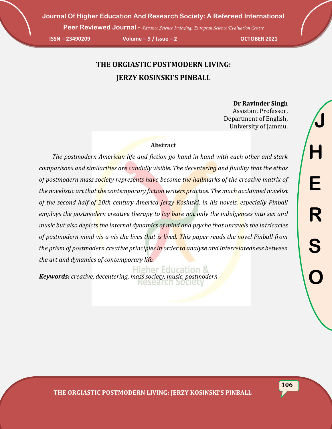**Peer Reviewed Journal -** *Advance Science Indexing: European Science Evaluation Centre* 

**ISSN – 23490209 Volume – 9 / Issue – 2 OCTOBER 2021**

## **THE ORGIASTIC POSTMODERN LIVING: JERZY KOSINSKI'S PINBALL**

**Dr Ravinder Singh** Assistant Professor, Department of English, University of Jammu.

## **Abstract**

 *The postmodern American life and fiction go hand in hand with each other and stark comparisons and similarities are candidly visible. The decentering and fluidity that the ethos of postmodern mass society represents have become the hallmarks of the creative matrix of the novelistic art that the contemporary fiction writers practice. The much acclaimed novelist of the second half of 20th century America Jerzy Kosinski, in his novels, especially Pinball employs the postmodern creative therapy to lay bare not only the indulgences into sex and music but also depicts the internal dynamics of mind and psyche that unravels the intricacies of postmodern mind vis-a-vis the lives that is lived. This paper reads the novel Pinball from the prism of postmodern creative principles in order to analyse and interrelatedness between the art and dynamics of contemporary life.*

**Higher Education &** *Keywords: creative, decentering, mass society, music, postmodern*<u>Research bocle</u>

**106**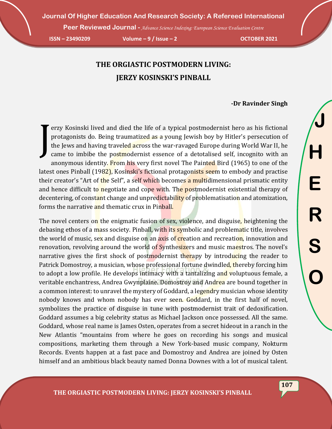**Peer Reviewed Journal -** *Advance Science Indexing: European Science Evaluation Centre* 

**ISSN – 23490209 Volume – 9 / Issue – 2 OCTOBER 2021**

## **THE ORGIASTIC POSTMODERN LIVING: JERZY KOSINSKI'S PINBALL**

## **-Dr Ravinder Singh**

erzy Kosinski lived and died the life of a typical postmodernist hero as his fictional protagonists do. Being traumatized as a young Jewish boy by Hitler's persecution of the Jews and having traveled across the war-ravaged Europe during World War II, he came to imbibe the postmodernist essence of a detotalised self, incognito with an anonymous identity. From his very first novel The Painted Bird (1965) to one of the latest ones Pinball (1982), Kosinski's fictional protagonists seem to embody and practise their creator's "Art of the Self", a self which becomes a multidimensional prismatic entity and hence difficult to negotiate and cope with. The postmodernist existential therapy of decentering, of constant change and unpredictability of problematisation and atomization, forms the narrative and thematic crux in Pinball. J

The novel centers on the enigmatic fusion of sex, violence, and disguise, heightening the debasing ethos of a mass society. Pinball, with its symbolic and problematic title, involves the world of music, sex and disguise on an axis of creation and recreation, innovation and renovation, revolving around the world of Synthesizers and music maestros. The novel's narrative gives the first shock of postmodernist therapy by introducing the reader to Patrick Domostroy, a musician, whose professional fortune dwindled, thereby forcing him to adopt a low profile. He develops intimacy with a tantalizing and voluptuous female, a veritable enchantress, Andrea Gwynplaine. Domostroy and Andrea are bound together in a common interest: to unravel the mystery of Goddard, a legendry musician whose identity nobody knows and whom nobody has ever seen. Goddard, in the first half of novel, symbolizes the practice of disguise in tune with postmodernist trait of dedoxification. Goddard assumes a big celebrity status as Michael Jackson once possessed. All the same. Goddard, whose real name is James Osten, operates from a secret hideout in a ranch in the New Atlantis "mountains from where he goes on recording his songs and musical compositions, marketing them through a New York-based music company, Nokturm Records. Events happen at a fast pace and Domostroy and Andrea are joined by Osten himself and an ambitious black beauty named Donna Downes with a lot of musical talent.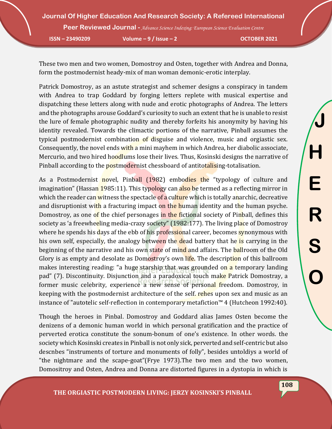**Journal Of Higher Education And Research Society: A Refereed International Peer Reviewed Journal -** *Advance Science Indexing: European Science Evaluation Centre* 

**ISSN – 23490209 Volume – 9 / Issue – 2 OCTOBER 2021**

These two men and two women, Domostroy and Osten, together with Andrea and Donna, form the postmodernist heady-mix of man woman demonic-erotic interplay.

Patrick Domostroy, as an astute strategist and schemer designs a conspiracy in tandem with Andrea to trap Goddard by forging letters replete with musical expertise and dispatching these letters along with nude and erotic photographs of Andrea. The letters and the photographs arouse Goddard's curiosity to such an extent that he is unable to resist the lure of female photographic nudity and thereby forfeits his anonymity by having his identity revealed. Towards the climactic portions of the narrative, Pinball assumes the typical postmodernist combination of disguise and violence, music and orgiastic sex. Consequently, the novel ends with a mini mayhem in which Andrea, her diabolic associate, Mercurio, and two hired hoodlums lose their lives. Thus, Kosinski designs the narrative of Pinball according to the postmodernist chessboard of antitotalising-totalisation.

As a Postmodernist novel, Pinball (1982) embodies the "typology of culture and imagination" (Hassan 1985:11). This typology can also be termed as a reflecting mirror in which the reader can witness the spectacle of a culture which is totally anarchic, decreative and disruptionist with a fracturing impact on the human identity and the human psyche. Domostroy, as one of the chief personages in the fictional society of Pinball, defines this society as 'a freewheeling media-crazy society" (1982:177). The living place of Domostroy where he spends his days af the ebb of his professional career, becomes synonymous with his own self, especially, the analogy between the dead battery that he is carrying in the beginning of the narrative and his own state of mind and affairs. The ballroom of the Old Glory is as empty and desolate as Domostroy's own life. The description of this ballroom makes interesting reading: "a huge starship that was grounded on a temporary landing pad" (7). Discontinuity. Disjunction and a paradoxical touch make Patrick Domostray, a former music celebrity, experience a new sense of personal freedom. Domostroy, in keeping with the postmodernist architecture of the self. rehes upon sex and music as an instance of "autotelic self-reflection in contemporary metafiction™ 4 (Hutcheon 1992:40).

Though the heroes in Pinbal. Domostroy and Goddard alias James Osten become the denizens of a demonic human world in which personal gratification and the practice of perverted erotica constitute the sonum-bonum of one's existence. In other words. the society which Kosinski creates in Pinball is not only sick, perverted and self-centric but also descnbes "instruments of torture and monuments of folly", besides untoldiys a world of "the nightmare and the scape-goat"(Frye 1973).The two men and the two women, Domositroy and Osten, Andrea and Donna are distorted figures in a dystopia in which is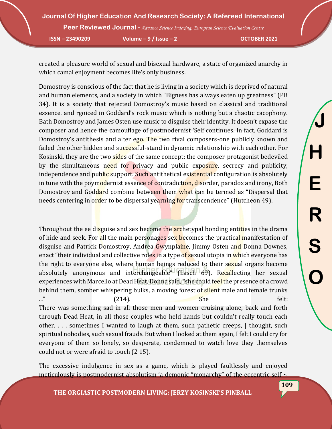**Journal Of Higher Education And Research Society: A Refereed International Peer Reviewed Journal -** *Advance Science Indexing: European Science Evaluation Centre* 

**ISSN – 23490209 Volume – 9 / Issue – 2 OCTOBER 2021**

created a pleasure world of sexual and bisexual hardware, a state of organized anarchy in which camal enjoyment becomes life's only business.

Domostroy is conscious of the fact that he is living in a society which is deprived of natural and human elements, and a society in which "Bigness has always eaten up greatness" (PB 34). It is a society that rejected Domostroy's music based on classical and traditional essence. and rgoiced in Goddard's rock music which is nothing but a chaotic cacophony. Bath Domostroy and James Osten use music to disguise their identity. It doesn't expase the composer and hence the camouflage of postmodernist 'Self continues. In fact, Goddard is Domostroy's antithesis and alter ego. The two rival composers-one publicly known and failed the other hidden and successful-stand in dynamic relationship with each other. For Kosinski, they are the two sides of the same concept: the composer-protagonist bedeviled by the simultaneous need for privacy and public exposure, secrecy and publicity, independence and public support. Such antithetical existential configuration is absolutely in tune with the poymodernist essence of contradiction, disorder, paradox and irony, Both Domostroy and Goddard combine between them what can be termed as "Dispersal that needs centering in order to be dispersal yearning for transcendence" (Hutcheon 49).

Throughout the ee disguise and sex become the archetypal bonding entities in the drama of hide and seek. For all the main personages sex becomes the practical manifestation of disguise and Patrick Domostroy, Andrea Gwynplaine, Jimmy Osten and Donna Downes, enact "their individual and collective roles in a type of sexual utopia in which everyone has the right to everyone else, where human beings reduced to their sexual organs become absolutely anonymous and interchangeable" (Lasch 69). Recallecting her sexual experiences with Marcello at Dead Heat, Donna said, "she could feel the presence of a crowd behind them, somber whispering bulks, a moving forest of silent male and female trunks  $\ldots$ " (214). She she felt: There was something sad in all those men and women cruising alone, back and forth through Dead Heat, in all those couples who held hands but couldn't really touch each other, . . . sometimes I wanted to laugh at them, such pathetic creeps, | thought, such spiritual nobodies, such sexual frauds. But when I looked at them again, I felt I could cry for everyone of them so lonely, so desperate, condemned to watch love they themselves could not or were afraid to touch (2 15).

The excessive indulgence in sex as a game, which is played faultlessly and enjoyed meticulously is postmodernist absolutism 'a demonic "monarchy" of the eccentric self  $\sim$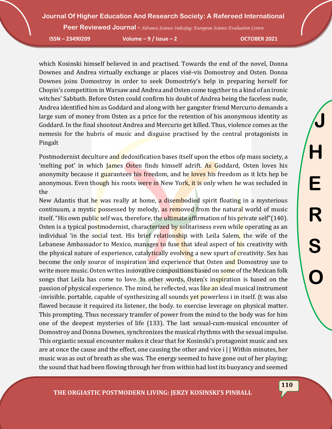**Peer Reviewed Journal -** *Advance Science Indexing: European Science Evaluation Centre* 

**ISSN – 23490209 Volume – 9 / Issue – 2 OCTOBER 2021**

which Kosinski himself believed in and practised. Towards the end of the novel, Donna Downes and Andrea virtually exchange ar places visé-vis Domostroy and Osten. Donna Downes joins Domostroy in order to seek Domostr6y's help in preparing herself for Chopin's competition in Warsaw and Andrea and Osten come togcther tn a kind of an ironic witches' Sabbath. Before Osten could confirm his doubt of Andrea being the faceless nude, Andrea identified him as Goddard and along with her gangster friend Mercurio demands a large sum of money from Osten as a price for the retention of his anonymous identity as Goddard. In the final shootout Andrea and Mercurio get killed. Thus, violence comes as the nemesis for the hubris of music and disguise practised by the central protagonists in Pingalt

Postmodernist deculture and dedoxification bases itself upon the ethos of mass society, a 'melting pot' in which James Osten finds himself adrift. As Goddard, Osten loves his anonymity because it guarantees his freedom, and he loves his freedom as it Icts hep be anonymous. Even though his roots were in New York, it is only when he was secluded in the

New Adantis that he was really at home, a disembodied spirit floating in a mysterious continuum, a mystic possessed by melody, as removed from the natural world of music itself. "His own public self was, therefore, the ultimate affirmation of his private self"(140). Osten is a typical postmodernist, characterized by solitariness even while operating as an individual 'in the social text. His brief relationship with Leila Salem, the wife of the Lebanese Ambassador to Mexico, manages to fuse that ideal aspect of his creativity with the physical nature of experience, catalytically evolving a new spurt of creativity. Sex has become the only source of inspiration and experience that Osten and Domostroy use to write more music. Osten writes innovative compositions based on some of the Mexican folk songs that Leila has come to love. In other words, Osten's inspiration is based on the passion of physical experience. The mind, he reflected, was like an ideal musical instrument -invisible. portable, capable of synthesizing all sounds yet powerless i in itself. {t was also flawed because it required its listener, the body. to exercise leverage on physical matter. This prompting. Thus necessary transfer of power from the mind to the body was for him one of the deepest mysteries of life (133). The last sexual-cum-musical encounter of Domostroy and Donna Downes, synchronizes the musical rhythms with the sexual impulse. This orgiastic sexual encounter makes it clear that for Kosinski's protagonist music and sex are at once the cause and the effect, one causing the other and vice i | | Within minutes, her music was as out of breath as she was. The energy seemed to have gone out of her playing; the sound that had been flowing through her from within had lost its buoyancy and seemed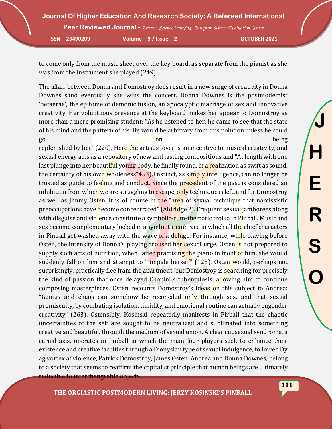**Peer Reviewed Journal -** *Advance Science Indexing: European Science Evaluation Centre* 

**ISSN – 23490209 Volume – 9 / Issue – 2 OCTOBER 2021**

**J**

**H**

**E**

**R**

**S**

**O**

to come only from the music sheet over the key board, as separate from the pianist as she was from the instrument she played (249).

The affair between Donna and Domostroy does result in a new surge of creativity in Donna Downes sand eventually she wins the concert. Donna Downes is the postmodemist 'hetaerae', the epitome of demonic fusion, an apocalyptic marriage of sex and innovative creativity. Her voluptuous presence at the keyboard makes her appear to Domostroy as more than a mere promising student: "As he listened to her, he came to see that the state of his mind and the pattern of his life would be arbitrary from this point on unless he could go being a base on the contract of the being states on the being states on the being states on the being states on the being states of  $\alpha$ 

replenished by her" (220). Here the artist's lover is an incentive to musical creativity, and sexual energy acts as a repository of new and lasting compositions and "At length with one last plunge into her beautiful young body, he finally found, in a realization as swift as sound, the certainty of his own wholeness"453). I nstinct, as simply intelligence, can no longer be trusted as guide to feeling and conduct. Since the precedent of the past is considered an inhibition from which we are struggling to escape, only technique is left, and for Domostroy as well as Jimmy Osten, it is of course in the "area of sexual technique that narcissistic preoccupations have become concentrated" (Aldridge 2). Frequent sexual jamborees along with disguise and violence constitute a symbolic-cum-thematic troika in Pinball. Music and sex become complementary locked in a symbiotic embrace in which all the chief characters in Pinball get washed away with the wave of a deluge. For instance, while playing before Osten, the intensity of Donna's playing aroused her sexual urge. Osten is not prepared to supply such acts of nutrition, when "after practising the piano in front of him, she would suddenly fall on him and attempt to " impale herself" (125). Osten would, perhaps not surprisingly, practically flee fram the apartment, but Demostroy is searching for precisely the kind of passion that once delayed Chopin's tuberculosis, allowing him to continue composing masterpieces. Osten recounts Domostroy's ideas on this subject to Andrea: "Genius and chaos can somehow be reconciled only through sex, and that sexual promiscuity, by combating isolation, timidity, and emotional routine can actually engender creativity" (263). Ostensibly, Kosinski repeatedly manifests in Pirbail that the chaotic uncertainties of the self are sought to be neutralized and sublimated into something creative and beautiful. through the medium of sexual union. A clear cut sexual syndrome, a carnal axis, operates in Pinball in which the main four players seek to enhance their existence and creative faculties through a Dionysian type of sexual indulgence, followed Dy ag vortex af violence, Patrick Domostroy, James Osten. Andrea and Donna Downes, belong to a society that seems to reaffirm the capitalist principle that human beings are ultimately reducible to interchangeable objects.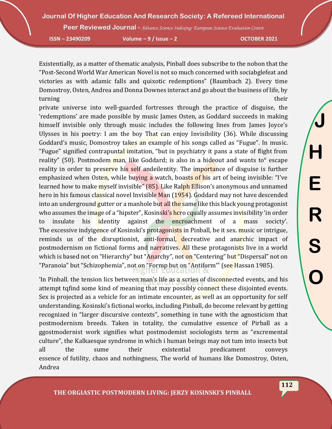**Peer Reviewed Journal -** *Advance Science Indexing: European Science Evaluation Centre* 

**ISSN – 23490209 Volume – 9 / Issue – 2 OCTOBER 2021**

Existentially, as a matter of thematic analysis, Pinball does subscribe to the nobon that the "Post-Second World War American Novel is not so much concerned with sociabglefeat and victories as with adamic falls and quixotic redemptions" (Baumbach 2). Every time Domostroy, Osten, Andrea and Donna Downes interact and go about the business of life, by turning their their contracts of the contracts of the contracts of the contracts of their contracts of their c

private universe into well-guarded fortresses through the practice of disguise, the 'redemptions' are made possible by music James Osten, as Goddard succeeds in making himself invisible only through music includes the following lines from James Joyce's Ulysses in his poetry: I am the boy That can enjoy Invisibility (36). While discussing Goddard's music, Domostroy takes an example of his songs called as "Fugue". In music. "Fugue" signified contrapuntal imitation, "but in psychiatry it pans a state of flight from reality" (50). Postmodem man, like Goddard; is also in a hideout and wants to<sup>o</sup> escape reality in order to preserve his self andeilentity. The importance of disguise is further emphasized when Osten, while buying a watch, boasts of his art of being invisible: "I've learned how to make myself invisible" (85). Like Ralph Ellison's anonymous and unnamed hero in his famous classical novel Invisible Man (1954). Goddard may not have descended into an underground gutter or a manhole but all the same like this black young protagonist who assumes the image of a "hipster", Kosinski's hcro cqually assumes invisibility 'in order to insulate his identity against the encroachment of a mass socicty'. The excessive indyigence of Kosinski's protagonists in Pinball, be it sex. music or intrigue, reminds us of the disruptionist, anti-formal, decreative and anarchic impact of postmodernism on fictional forms and narratives. All these protagonists live in a world which is based not on "Hierarchy" but "Anarchy", not on "Centering" but "Dispersal" not on "Paranoia" but "Schizophemia", not on "Formp but on "Antiform"" (see Hassan 1985).

'In Pinball. the tension lics between man's life as a scries of disconnected events, and his attempt tqfind some kind of meaning that may possibly connect these disjointed events. Sex is projected as a vehicle for an intimate encounter, as well as an opportunity for self understanding. Kosinski's fictional works, including Pinball, do become relevant by getting recognized in "larger discursive contexts", something in tune with the agnosticism that postmodernism breeds. Taken in totality, the cumulative essence of Pirball as a ggostmodernist work signifies what postmodemist sociologists term as "excremental culture", the Kalkaesque syndrome in which i human beings may not tum into insects but all the sume their existential predicament conveys essence of futility, chaos and nothingness, The world of humans like Domostroy, Osten, Andrea